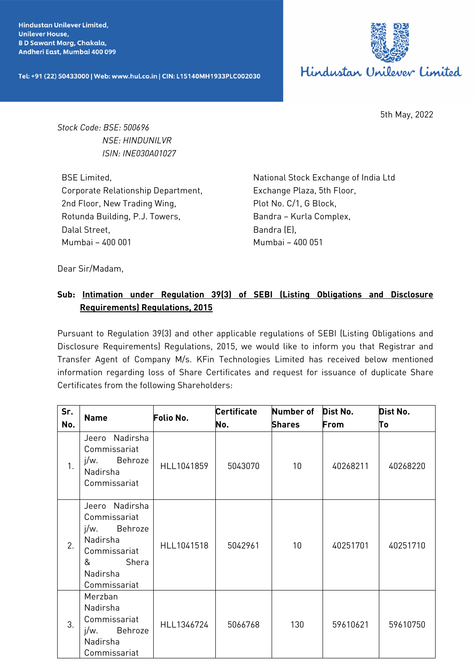**Hindustan Unilever Limited. Unilever House, BD Sawant Marg, Chakala,** Andheri East, Mumbai 400 099

Tel: +91 (22) 50433000 | Web: www.hul.co.in | CIN: L15140MH1933PLC002030



5th May, 2022

*Stock Code: BSE: 500696 NSE: HINDUNILVR ISIN: INE030A01027*

BSE Limited, Corporate Relationship Department, 2nd Floor, New Trading Wing, Rotunda Building, P.J. Towers, Dalal Street, Mumbai – 400 001

National Stock Exchange of India Ltd Exchange Plaza, 5th Floor, Plot No. C/1, G Block, Bandra – Kurla Complex, Bandra (E), Mumbai – 400 051

Dear Sir/Madam,

## **Sub: Intimation under Regulation 39(3) of SEBI (Listing Obligations and Disclosure Requirements) Regulations, 2015**

Pursuant to Regulation 39(3) and other applicable regulations of SEBI (Listing Obligations and Disclosure Requirements) Regulations, 2015, we would like to inform you that Registrar and Transfer Agent of Company M/s. KFin Technologies Limited has received below mentioned information regarding loss of Share Certificates and request for issuance of duplicate Share Certificates from the following Shareholders:

| Sr. |                                                                                                                                | Folio No.  | <b>Certificate</b> | <b>Number of</b> | Dist No. | Dist No. |
|-----|--------------------------------------------------------------------------------------------------------------------------------|------------|--------------------|------------------|----------|----------|
| No. | <b>Name</b>                                                                                                                    |            | No.                | <b>Shares</b>    | From     | To       |
| 1.  | Jeero Nadirsha<br>Commissariat<br>Behroze<br>$i/w$ .<br>Nadirsha<br>Commissariat                                               | HLL1041859 | 5043070            | 10 <sup>°</sup>  | 40268211 | 40268220 |
| 2.  | Jeero Nadirsha<br>Commissariat<br>j/w.<br>Behroze<br><b>Nadirsha</b><br>Commissariat<br>&<br>Shera<br>Nadirsha<br>Commissariat | HLL1041518 | 5042961            | 10 <sup>°</sup>  | 40251701 | 40251710 |
| 3.  | Merzban<br>Nadirsha<br>Commissariat<br>Behroze<br>j/w.<br>Nadirsha<br>Commissariat                                             | HLL1346724 | 5066768            | 130              | 59610621 | 59610750 |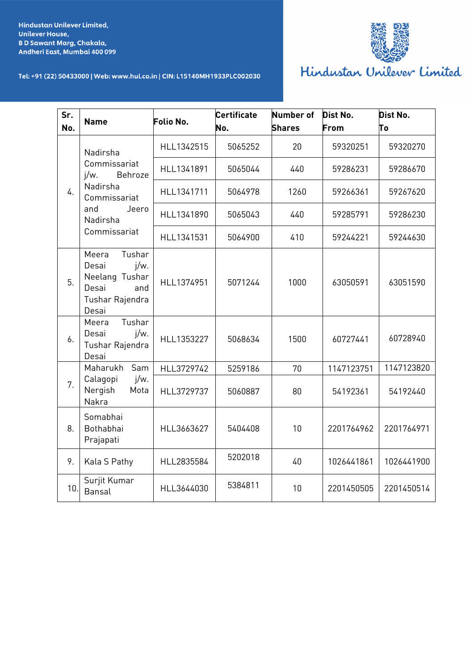

## Tel: +91 (22) 50433000 | Web: www.hul.co.in | CIN: L15140MH1933PLC002030

| Hindustan Unilever Limited |  |  |
|----------------------------|--|--|
|----------------------------|--|--|

| Sr.<br>No.     | <b>Name</b>                                                                                                            | Folio No.  | <b>Certificate</b><br>No. | <b>Number of</b><br><b>Shares</b> | Dist No.<br>From | Dist No.<br>Τo |
|----------------|------------------------------------------------------------------------------------------------------------------------|------------|---------------------------|-----------------------------------|------------------|----------------|
| 4.             | Nadirsha<br>Commissariat<br>$i/w$ .<br>Behroze<br>Nadirsha<br>Commissariat<br>and<br>Jeero<br>Nadirsha<br>Commissariat | HLL1342515 | 5065252                   | 20                                | 59320251         | 59320270       |
|                |                                                                                                                        | HLL1341891 | 5065044                   | 440                               | 59286231         | 59286670       |
|                |                                                                                                                        | HLL1341711 | 5064978                   | 1260                              | 59266361         | 59267620       |
|                |                                                                                                                        | HLL1341890 | 5065043                   | 440                               | 59285791         | 59286230       |
|                |                                                                                                                        | HLL1341531 | 5064900                   | 410                               | 59244221         | 59244630       |
| 5.             | Tushar<br>Meera<br>$j/w$ .<br>Desai<br>Neelang Tushar<br>Desai<br>and<br>Tushar Rajendra<br>Desai                      | HLL1374951 | 5071244                   | 1000                              | 63050591         | 63051590       |
| 6.             | Tushar<br>Meera<br>j/w.<br>Desai<br>Tushar Rajendra<br>Desai                                                           | HLL1353227 | 5068634                   | 1500                              | 60727441         | 60728940       |
| 7 <sub>1</sub> | Sam<br>Maharukh<br>j/w.<br>Calagopi<br>Nergish<br>Mota<br>Nakra                                                        | HLL3729742 | 5259186                   | 70                                | 1147123751       | 1147123820     |
|                |                                                                                                                        | HLL3729737 | 5060887                   | 80                                | 54192361         | 54192440       |
| 8.             | Somabhai<br>Bothabhai<br>Prajapati                                                                                     | HLL3663627 | 5404408                   | 10                                | 2201764962       | 2201764971     |
| 9.             | Kala S Pathy                                                                                                           | HLL2835584 | 5202018                   | 40                                | 1026441861       | 1026441900     |
| 10.            | Surjit Kumar<br>Bansal                                                                                                 | HLL3644030 | 5384811                   | 10                                | 2201450505       | 2201450514     |